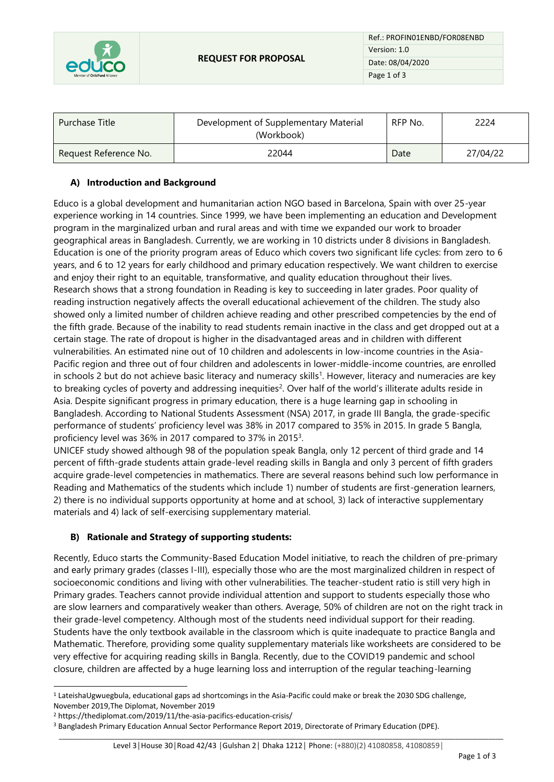

Ref.: PROFIN01ENBD/FOR08ENBD Version: 1.0 Date: 08/04/2020 Page 1 of 3

| Purchase Title        | Development of Supplementary Material<br>(Workbook) | RFP No. | 2224     |
|-----------------------|-----------------------------------------------------|---------|----------|
| Request Reference No. | 22044                                               | Date    | 27/04/22 |

## **A) Introduction and Background**

Educo is a global development and humanitarian action NGO based in Barcelona, Spain with over 25-year experience working in 14 countries. Since 1999, we have been implementing an education and Development program in the marginalized urban and rural areas and with time we expanded our work to broader geographical areas in Bangladesh. Currently, we are working in 10 districts under 8 divisions in Bangladesh. Education is one of the priority program areas of Educo which covers two significant life cycles: from zero to 6 years, and 6 to 12 years for early childhood and primary education respectively. We want children to exercise and enjoy their right to an equitable, transformative, and quality education throughout their lives. Research shows that a strong foundation in Reading is key to succeeding in later grades. Poor quality of reading instruction negatively affects the overall educational achievement of the children. The study also showed only a limited number of children achieve reading and other prescribed competencies by the end of the fifth grade. Because of the inability to read students remain inactive in the class and get dropped out at a certain stage. The rate of dropout is higher in the disadvantaged areas and in children with different vulnerabilities. An estimated nine out of 10 children and adolescents in low-income countries in the Asia-Pacific region and three out of four children and adolescents in lower-middle-income countries, are enrolled in schools 2 but do not achieve basic literacy and numeracy skills<sup>1</sup>. However, literacy and numeracies are key to breaking cycles of poverty and addressing inequities<sup>2</sup>. Over half of the world's illiterate adults reside in Asia. Despite significant progress in primary education, there is a huge learning gap in schooling in Bangladesh. According to National Students Assessment (NSA) 2017, in grade III Bangla, the grade-specific performance of students' proficiency level was 38% in 2017 compared to 35% in 2015. In grade 5 Bangla, proficiency level was 36% in 2017 compared to 37% in 2015<sup>3</sup>.

UNICEF study showed although 98 of the population speak Bangla, only 12 percent of third grade and 14 percent of fifth-grade students attain grade-level reading skills in Bangla and only 3 percent of fifth graders acquire grade-level competencies in mathematics. There are several reasons behind such low performance in Reading and Mathematics of the students which include 1) number of students are first-generation learners, 2) there is no individual supports opportunity at home and at school, 3) lack of interactive supplementary materials and 4) lack of self-exercising supplementary material.

## **B) Rationale and Strategy of supporting students:**

Recently, Educo starts the Community-Based Education Model initiative, to reach the children of pre-primary and early primary grades (classes I-III), especially those who are the most marginalized children in respect of socioeconomic conditions and living with other vulnerabilities. The teacher-student ratio is still very high in Primary grades. Teachers cannot provide individual attention and support to students especially those who are slow learners and comparatively weaker than others. Average, 50% of children are not on the right track in their grade-level competency. Although most of the students need individual support for their reading. Students have the only textbook available in the classroom which is quite inadequate to practice Bangla and Mathematic. Therefore, providing some quality supplementary materials like worksheets are considered to be very effective for acquiring reading skills in Bangla. Recently, due to the COVID19 pandemic and school closure, children are affected by a huge learning loss and interruption of the regular teaching-learning

<sup>1</sup> LateishaUgwuegbula, educational gaps ad shortcomings in the Asia-Pacific could make or break the 2030 SDG challenge, November 2019,The Diplomat, November 2019

<sup>2</sup> https://thediplomat.com/2019/11/the-asia-pacifics-education-crisis/

<sup>&</sup>lt;sup>3</sup> Bangladesh Primary Education Annual Sector Performance Report 2019, Directorate of Primary Education (DPE).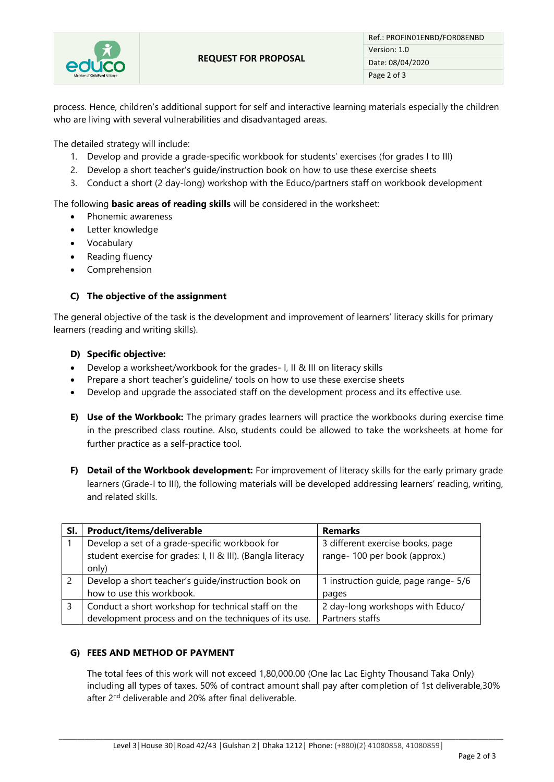

process. Hence, children's additional support for self and interactive learning materials especially the children who are living with several vulnerabilities and disadvantaged areas.

The detailed strategy will include:

- 1. Develop and provide a grade-specific workbook for students' exercises (for grades I to III)
- 2. Develop a short teacher's guide/instruction book on how to use these exercise sheets
- 3. Conduct a short (2 day-long) workshop with the Educo/partners staff on workbook development

The following **basic areas of reading skills** will be considered in the worksheet:

- Phonemic awareness
- Letter knowledge
- Vocabulary
- Reading fluency
- Comprehension

### **C) The objective of the assignment**

The general objective of the task is the development and improvement of learners' literacy skills for primary learners (reading and writing skills).

#### **D) Specific objective:**

- Develop a worksheet/workbook for the grades- I, II & III on literacy skills
- Prepare a short teacher's quideline/ tools on how to use these exercise sheets
- Develop and upgrade the associated staff on the development process and its effective use.
- **E) Use of the Workbook:** The primary grades learners will practice the workbooks during exercise time in the prescribed class routine. Also, students could be allowed to take the worksheets at home for further practice as a self-practice tool.
- **F) Detail of the Workbook development:** For improvement of literacy skills for the early primary grade learners (Grade-I to III), the following materials will be developed addressing learners' reading, writing, and related skills.

| SI. | Product/items/deliverable                                                                                              | <b>Remarks</b>                                                   |
|-----|------------------------------------------------------------------------------------------------------------------------|------------------------------------------------------------------|
|     | Develop a set of a grade-specific workbook for<br>student exercise for grades: I, II & III). (Bangla literacy<br>only) | 3 different exercise books, page<br>range-100 per book (approx.) |
|     | Develop a short teacher's guide/instruction book on                                                                    | 1 instruction guide, page range- 5/6                             |
|     | how to use this workbook.                                                                                              | pages                                                            |
|     | Conduct a short workshop for technical staff on the<br>development process and on the techniques of its use.           | 2 day-long workshops with Educo/<br>Partners staffs              |

## **G) FEES AND METHOD OF PAYMENT**

The total fees of this work will not exceed 1,80,000.00 (One lac Lac Eighty Thousand Taka Only) including all types of taxes. 50% of contract amount shall pay after completion of 1st deliverable,30% after 2<sup>nd</sup> deliverable and 20% after final deliverable.